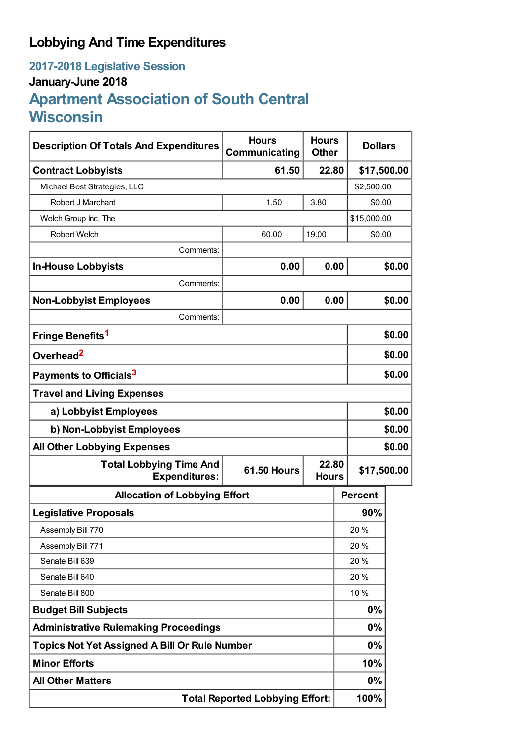## **Lobbying And Time Expenditures**

## **2017-2018 Legislative Session January-June 2018 Apartment Association of South Central Wisconsin**

| <b>Description Of Totals And Expenditures</b>          | <b>Hours</b><br>Communicating | <b>Hours</b><br><b>Other</b> | <b>Dollars</b> |                |        |
|--------------------------------------------------------|-------------------------------|------------------------------|----------------|----------------|--------|
| <b>Contract Lobbyists</b>                              | 61.50                         | 22.80                        |                | \$17,500.00    |        |
| Michael Best Strategies, LLC                           |                               |                              |                | \$2,500.00     |        |
| Robert J Marchant                                      | 1.50                          | 3.80                         |                | \$0.00         |        |
| Welch Group Inc, The                                   |                               |                              |                | \$15,000.00    |        |
| <b>Robert Welch</b>                                    | 60.00                         | 19.00                        |                | \$0.00         |        |
| Comments:                                              |                               |                              |                |                |        |
| <b>In-House Lobbyists</b>                              | 0.00                          | 0.00                         |                |                | \$0.00 |
| Comments:                                              |                               |                              |                |                |        |
| <b>Non-Lobbyist Employees</b>                          | 0.00                          | 0.00                         |                |                | \$0.00 |
| Comments:                                              |                               |                              |                |                |        |
| Fringe Benefits <sup>1</sup>                           |                               |                              |                |                | \$0.00 |
| Overhead <sup>2</sup>                                  |                               |                              |                | \$0.00         |        |
| Payments to Officials <sup>3</sup>                     |                               |                              |                |                | \$0.00 |
| <b>Travel and Living Expenses</b>                      |                               |                              |                |                |        |
| a) Lobbyist Employees                                  |                               |                              |                | \$0.00         |        |
| b) Non-Lobbyist Employees                              |                               |                              |                | \$0.00         |        |
| <b>All Other Lobbying Expenses</b>                     |                               |                              |                |                | \$0.00 |
| <b>Total Lobbying Time And</b><br><b>Expenditures:</b> | <b>61.50 Hours</b>            | 22.80<br><b>Hours</b>        |                | \$17,500.00    |        |
| <b>Allocation of Lobbying Effort</b>                   |                               |                              |                | <b>Percent</b> |        |
| <b>Legislative Proposals</b>                           |                               |                              |                | 90%            |        |
| Assembly Bill 770                                      |                               |                              |                | 20%            |        |
| Assembly Bill 771                                      |                               |                              | 20 %           |                |        |
| Senate Bill 639                                        |                               |                              |                | 20 %           |        |
| Senate Bill 640                                        |                               |                              |                | 20 %           |        |
| Senate Bill 800                                        |                               |                              |                | 10 %           |        |
| <b>Budget Bill Subjects</b>                            |                               |                              | 0%             |                |        |
| <b>Administrative Rulemaking Proceedings</b>           |                               |                              |                | 0%             |        |
| <b>Topics Not Yet Assigned A Bill Or Rule Number</b>   |                               |                              | 0%             |                |        |
| <b>Minor Efforts</b>                                   |                               |                              |                | 10%            |        |
| <b>All Other Matters</b>                               |                               |                              |                | 0%             |        |
| <b>Total Reported Lobbying Effort:</b>                 |                               |                              |                | 100%           |        |